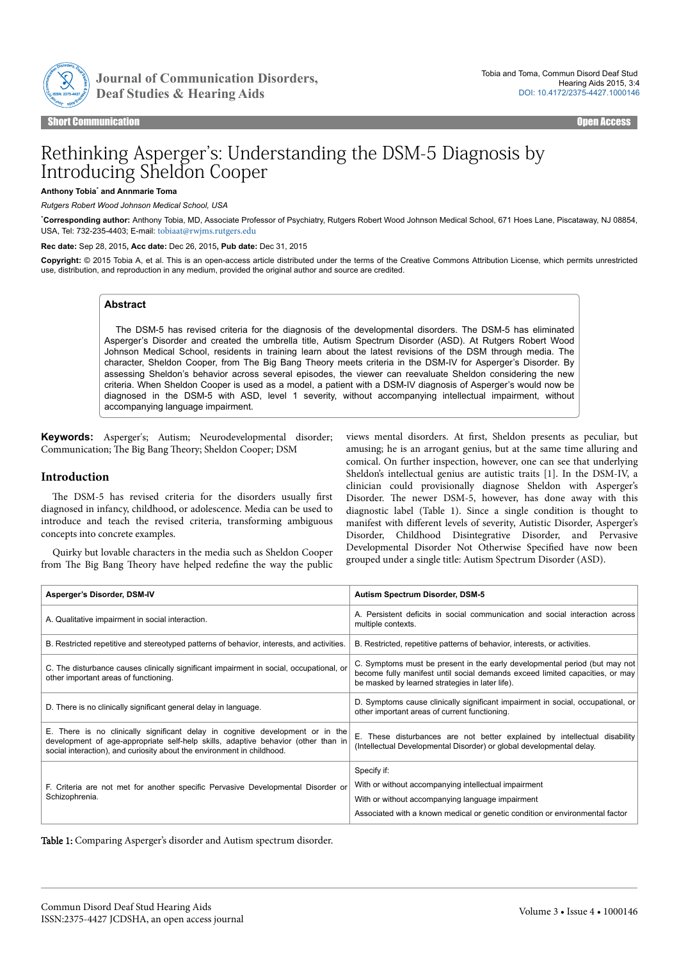

Journal of Communication Disorders,

Short Communication **Communication Communication Communication** Communication Communication Communication Communication

# Rethinking Asperger's: Understanding the DSM-5 Diagnosis by Introducing Sheldon Cooper

#### **Anthony Tobia**\*  **and Annmarie Toma**

*Rutgers Robert Wood Johnson Medical School, USA*

\***Corresponding author:** Anthony Tobia, MD, Associate Professor of Psychiatry, Rutgers Robert Wood Johnson Medical School, 671 Hoes Lane, Piscataway, NJ 08854, USA, Tel: 732-235-4403; E-mail: [tobiaat@rwjms.rutgers.edu](mailto:tobiaat@rwjms.rutgers.edu)

**Rec date:** Sep 28, 2015**, Acc date:** Dec 26, 2015**, Pub date:** Dec 31, 2015

**Copyright:** © 2015 Tobia A, et al. This is an open-access article distributed under the terms of the Creative Commons Attribution License, which permits unrestricted use, distribution, and reproduction in any medium, provided the original author and source are credited.

## **Abstract**

The DSM-5 has revised criteria for the diagnosis of the developmental disorders. The DSM-5 has eliminated Asperger's Disorder and created the umbrella title, Autism Spectrum Disorder (ASD). At Rutgers Robert Wood Johnson Medical School, residents in training learn about the latest revisions of the DSM through media. The character, Sheldon Cooper, from The Big Bang Theory meets criteria in the DSM-IV for Asperger's Disorder. By assessing Sheldon's behavior across several episodes, the viewer can reevaluate Sheldon considering the new criteria. When Sheldon Cooper is used as a model, a patient with a DSM-IV diagnosis of Asperger's would now be diagnosed in the DSM-5 with ASD, level 1 severity, without accompanying intellectual impairment, without accompanying language impairment.

**Keywords:** Asperger's; Autism; Neurodevelopmental disorder; Communication; The Big Bang Theory; Sheldon Cooper; DSM

### **Introduction**

The DSM-5 has revised criteria for the disorders usually first diagnosed in infancy, childhood, or adolescence. Media can be used to introduce and teach the revised criteria, transforming ambiguous concepts into concrete examples.

Quirky but lovable characters in the media such as Sheldon Cooper from Нe Big Bang Нeory have helped redefine the way the public

views mental disorders. At first, Sheldon presents as peculiar, but amusing; he is an arrogant genius, but at the same time alluring and comical. On further inspection, however, one can see that underlying Sheldon's intellectual genius are autistic traits [1]. In the DSM-IV, a clinician could provisionally diagnose Sheldon with Asperger's Disorder. Нe newer DSM-5, however, has done away with this diagnostic label (Table 1). Since a single condition is thought to manifest with different levels of severity, Autistic Disorder, Asperger's Disorder, Childhood Disintegrative Disorder, and Pervasive Developmental Disorder Not Otherwise 6pecified have now been grouped under a single title: Autism Spectrum Disorder (ASD).

| Asperger's Disorder, DSM-IV                                                                                                                                                                                                                   | Autism Spectrum Disorder, DSM-5                                                                                                                                                                               |
|-----------------------------------------------------------------------------------------------------------------------------------------------------------------------------------------------------------------------------------------------|---------------------------------------------------------------------------------------------------------------------------------------------------------------------------------------------------------------|
| A. Qualitative impairment in social interaction.                                                                                                                                                                                              | A. Persistent deficits in social communication and social interaction across<br>multiple contexts.                                                                                                            |
| B. Restricted repetitive and stereotyped patterns of behavior, interests, and activities.                                                                                                                                                     | B. Restricted, repetitive patterns of behavior, interests, or activities.                                                                                                                                     |
| C. The disturbance causes clinically significant impairment in social, occupational, or<br>other important areas of functioning.                                                                                                              | C. Symptoms must be present in the early developmental period (but may not<br>become fully manifest until social demands exceed limited capacities, or may<br>be masked by learned strategies in later life). |
| D. There is no clinically significant general delay in language.                                                                                                                                                                              | D. Symptoms cause clinically significant impairment in social, occupational, or<br>other important areas of current functioning.                                                                              |
| E. There is no clinically significant delay in cognitive development or in the<br>development of age-appropriate self-help skills, adaptive behavior (other than in<br>social interaction), and curiosity about the environment in childhood. | These disturbances are not better explained by intellectual disability<br>(Intellectual Developmental Disorder) or global developmental delay.                                                                |
|                                                                                                                                                                                                                                               | Specify if:                                                                                                                                                                                                   |
| F. Criteria are not met for another specific Pervasive Developmental Disorder or                                                                                                                                                              | With or without accompanying intellectual impairment                                                                                                                                                          |
| Schizophrenia.                                                                                                                                                                                                                                | With or without accompanying language impairment                                                                                                                                                              |
|                                                                                                                                                                                                                                               | Associated with a known medical or genetic condition or environmental factor                                                                                                                                  |

Table 1: Comparing Asperger's disorder and Autism spectrum disorder.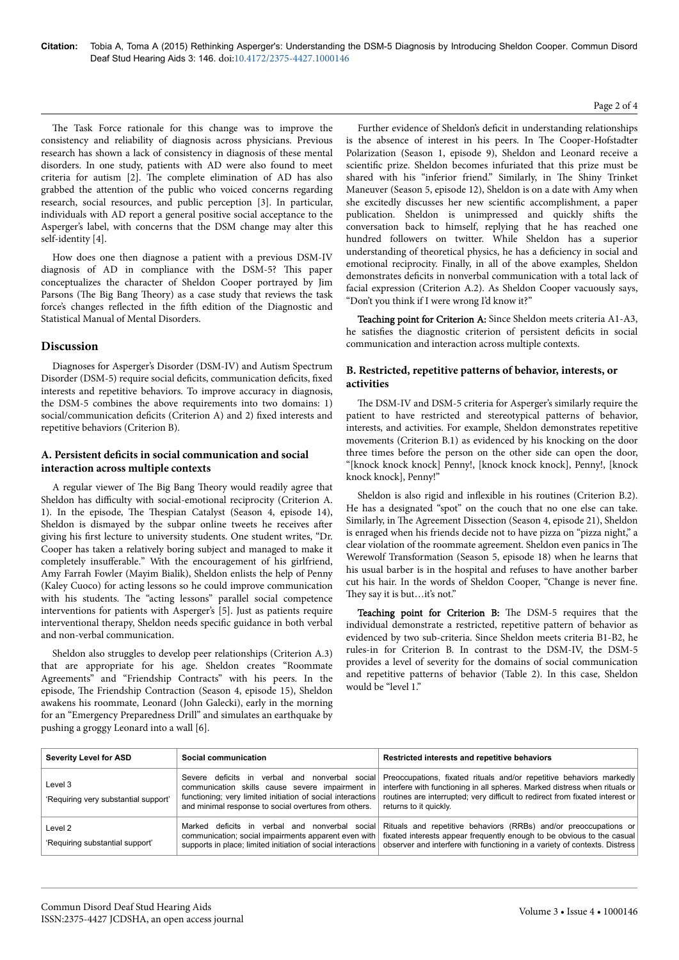The Task Force rationale for this change was to improve the consistency and reliability of diagnosis across physicians. Previous research has shown a lack of consistency in diagnosis of these mental disorders. In one study, patients with AD were also found to meet criteria for autism [2]. Нe complete elimination of AD has also grabbed the attention of the public who voiced concerns regarding research, social resources, and public perception [3]. In particular, individuals with AD report a general positive social acceptance to the Asperger's label, with concerns that the DSM change may alter this self-identity [4].

How does one then diagnose a patient with a previous DSM-IV diagnosis of AD in compliance with the DSM-5? Нis paper conceptualizes the character of Sheldon Cooper portrayed by Jim Parsons (The Big Bang Theory) as a case study that reviews the task force's changes reflected in the fifth edition of the Diagnostic and Statistical Manual of Mental Disorders.

## **Discussion**

Diagnoses for Asperger's Disorder (DSM-IV) and Autism Spectrum Disorder (DSM-5) require social deficits, communication deficits, fixed interests and repetitive behaviors. To improve accuracy in diagnosis, the DSM-5 combines the above requirements into two domains: 1) social/communication deficits (Criterion A) and 2) fixed interests and repetitive behaviors (Criterion B).

## A. Persistent deficits in social communication and social **interaction across multiple contexts**

A regular viewer of Нe Big Bang Нeory would readily agree that Sheldon has difficulty with social-emotional reciprocity (Criterion A. 1). In the episode, Нe Нespian Catalyst (Season 4, episode 14), Sheldon is dismayed by the subpar online tweets he receives after giving his first lecture to university students. One student writes, "Dr. Cooper has taken a relatively boring subject and managed to make it completely insufferable." With the encouragement of his girlfriend, Amy Farrah Fowler (Mayim Bialik), Sheldon enlists the help of Penny (Kaley Cuoco) for acting lessons so he could improve communication with his students. Нe "acting lessons" parallel social competence interventions for patients with Asperger's [5]. Just as patients require interventional therapy, Sheldon needs specific guidance in both verbal and non-verbal communication.

Sheldon also struggles to develop peer relationships (Criterion A.3) that are appropriate for his age. Sheldon creates "Roommate Agreements" and "Friendship Contracts" with his peers. In the episode, Нe Friendship Contraction (Season 4, episode 15), Sheldon awakens his roommate, Leonard (John Galecki), early in the morning for an "Emergency Preparedness Drill" and simulates an earthquake by pushing a groggy Leonard into a wall [6].

Further evidence of Sheldon's deficit in understanding relationships is the absence of interest in his peers. In Нe Cooper-Hofstadter Polarization (Season 1, episode 9), Sheldon and Leonard receive a scientific prize. Sheldon becomes infuriated that this prize must be shared with his "inferior friend." Similarly, in Нe Shiny Trinket Maneuver (Season 5, episode 12), Sheldon is on a date with Amy when she excitedly discusses her new scientific accomplishment, a paper publication. Sheldon is unimpressed and quickly shifts the conversation back to himself, replying that he has reached one hundred followers on twitter. While Sheldon has a superior understanding of theoretical physics, he has a deficiency in social and emotional reciprocity. Finally, in all of the above examples, Sheldon demonstrates deficits in nonverbal communication with a total lack of facial expression (Criterion A.2). As Sheldon Cooper vacuously says, "Don't you think if I were wrong I'd know it?"

Teaching point for Criterion A: Since Sheldon meets criteria A1-A3, he satisfies the diagnostic criterion of persistent deficits in social communication and interaction across multiple contexts.

## **B. Restricted, repetitive patterns of behavior, interests, or activities**

The DSM-IV and DSM-5 criteria for Asperger's similarly require the patient to have restricted and stereotypical patterns of behavior, interests, and activities. For example, Sheldon demonstrates repetitive movements (Criterion B.1) as evidenced by his knocking on the door three times before the person on the other side can open the door, "[knock knock knock] Penny!, [knock knock knock], Penny!, [knock knock knock], Penny!"

Sheldon is also rigid and inflexible in his routines (Criterion B.2). He has a designated "spot" on the couch that no one else can take. Similarly, in Нe Agreement Dissection (Season 4, episode 21), Sheldon is enraged when his friends decide not to have pizza on "pizza night," a clear violation of the roommate agreement. Sheldon even panics in Нe Werewolf Transformation (Season 5, episode 18) when he learns that his usual barber is in the hospital and refuses to have another barber cut his hair. In the words of Sheldon Cooper, "Change is never fine They say it is but...it's not."

Teaching point for Criterion B: The DSM-5 requires that the individual demonstrate a restricted, repetitive pattern of behavior as evidenced by two sub-criteria. Since Sheldon meets criteria B1-B2, he rules-in for Criterion B. In contrast to the DSM-IV, the DSM-5 provides a level of severity for the domains of social communication and repetitive patterns of behavior (Table 2). In this case, Sheldon would be "level 1."

| <b>Severity Level for ASD</b>                   | Social communication                                                                                                                                                    | Restricted interests and repetitive behaviors                                                                                                                                                                                                                                                                |
|-------------------------------------------------|-------------------------------------------------------------------------------------------------------------------------------------------------------------------------|--------------------------------------------------------------------------------------------------------------------------------------------------------------------------------------------------------------------------------------------------------------------------------------------------------------|
| Level 3<br>'Requiring very substantial support' | communication skills cause severe impairment in<br>functioning; very limited initiation of social interactions<br>and minimal response to social overtures from others. | Severe deficits in verbal and nonverbal social Preoccupations, fixated rituals and/or repetitive behaviors markedly<br>interfere with functioning in all spheres. Marked distress when rituals or<br>routines are interrupted; very difficult to redirect from fixated interest or<br>returns to it quickly. |
| Level 2<br>'Requiring substantial support'      | Marked deficits in verbal and nonverbal social<br>communication; social impairments apparent even with<br>supports in place; limited initiation of social interactions  | Rituals and repetitive behaviors (RRBs) and/or preoccupations or<br>fixated interests appear frequently enough to be obvious to the casual<br>observer and interfere with functioning in a variety of contexts. Distress                                                                                     |

#### Page 2 of 4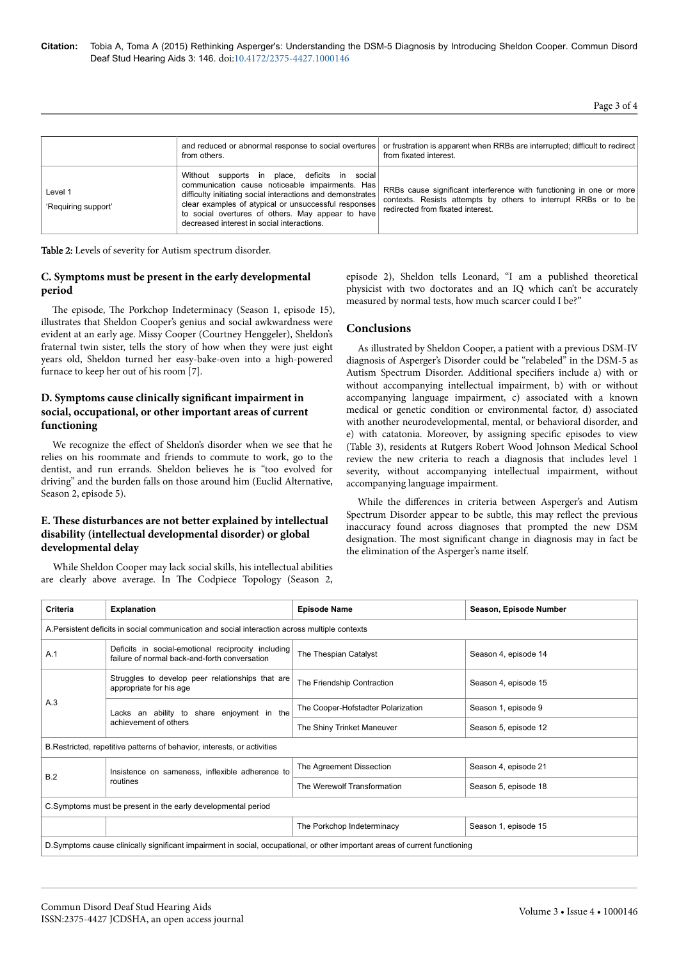|                                | and reduced or abnormal response to social overtures<br>from others.                                                                                                                                                                                                                                                      | or frustration is apparent when RRBs are interrupted; difficult to redirect<br>from fixated interest.                                                                       |
|--------------------------------|---------------------------------------------------------------------------------------------------------------------------------------------------------------------------------------------------------------------------------------------------------------------------------------------------------------------------|-----------------------------------------------------------------------------------------------------------------------------------------------------------------------------|
| Level 1<br>'Requiring support' | Without supports in place, deficits in social<br>communication cause noticeable impairments. Has<br>difficulty initiating social interactions and demonstrates<br>clear examples of atypical or unsuccessful responses<br>to social overtures of others. May appear to have<br>decreased interest in social interactions. | RRBs cause significant interference with functioning in one or more<br>contexts. Resists attempts by others to interrupt RRBs or to be<br>redirected from fixated interest. |

Table 2: Levels of severity for Autism spectrum disorder.

# **C. Symptoms must be present in the early developmental period**

The episode, The Porkchop Indeterminacy (Season 1, episode 15), illustrates that Sheldon Cooper's genius and social awkwardness were evident at an early age. Missy Cooper (Courtney Henggeler), Sheldon's fraternal twin sister, tells the story of how when they were just eight years old, Sheldon turned her easy-bake-oven into a high-powered furnace to keep her out of his room [7].

# **D. Symptoms cause clinically significant impairment in social, occupational, or other important areas of current functioning**

We recognize the effect of Sheldon's disorder when we see that he relies on his roommate and friends to commute to work, go to the dentist, and run errands. Sheldon believes he is "too evolved for driving" and the burden falls on those around him (Euclid Alternative, Season 2, episode 5).

## **E. Нese disturbances are not better explained by intellectual disability (intellectual developmental disorder) or global developmental delay**

While Sheldon Cooper may lack social skills, his intellectual abilities are clearly above average. In Нe Codpiece Topology (Season 2, episode 2), Sheldon tells Leonard, "I am a published theoretical physicist with two doctorates and an IQ which can't be accurately measured by normal tests, how much scarcer could I be?"

# **Conclusions**

As illustrated by Sheldon Cooper, a patient with a previous DSM-IV diagnosis of Asperger's Disorder could be "relabeled" in the DSM-5 as Autism Spectrum Disorder. Additional specifiers include a) with or without accompanying intellectual impairment, b) with or without accompanying language impairment, c) associated with a known medical or genetic condition or environmental factor, d) associated with another neurodevelopmental, mental, or behavioral disorder, and e) with catatonia. Moreover, by assigning specific episodes to view (Table 3), residents at Rutgers Robert Wood Johnson Medical School review the new criteria to reach a diagnosis that includes level 1 severity, without accompanying intellectual impairment, without accompanying language impairment.

While the differences in criteria between Asperger's and Autism Spectrum Disorder appear to be subtle, this may reflect the previous inaccuracy found across diagnoses that prompted the new DSM designation. Нe most significant change in diagnosis may in fact be the elimination of the Asperger's name itself.

| Criteria                                                                                                                    | <b>Explanation</b>                                                                                  | <b>Episode Name</b>                | Season, Episode Number |
|-----------------------------------------------------------------------------------------------------------------------------|-----------------------------------------------------------------------------------------------------|------------------------------------|------------------------|
| A. Persistent deficits in social communication and social interaction across multiple contexts                              |                                                                                                     |                                    |                        |
| A.1                                                                                                                         | Deficits in social-emotional reciprocity including<br>failure of normal back-and-forth conversation | The Thespian Catalyst              | Season 4, episode 14   |
| A.3                                                                                                                         | Struggles to develop peer relationships that are<br>appropriate for his age                         | The Friendship Contraction         | Season 4, episode 15   |
|                                                                                                                             | Lacks an ability to share enjoyment in the<br>achievement of others                                 | The Cooper-Hofstadter Polarization | Season 1, episode 9    |
|                                                                                                                             |                                                                                                     | The Shiny Trinket Maneuver         | Season 5, episode 12   |
| B. Restricted, repetitive patterns of behavior, interests, or activities                                                    |                                                                                                     |                                    |                        |
| B.2                                                                                                                         | Insistence on sameness, inflexible adherence to<br>routines                                         | The Agreement Dissection           | Season 4, episode 21   |
|                                                                                                                             |                                                                                                     | The Werewolf Transformation        | Season 5, episode 18   |
| C.Symptoms must be present in the early developmental period                                                                |                                                                                                     |                                    |                        |
|                                                                                                                             |                                                                                                     | The Porkchop Indeterminacy         | Season 1, episode 15   |
| D.Symptoms cause clinically significant impairment in social, occupational, or other important areas of current functioning |                                                                                                     |                                    |                        |